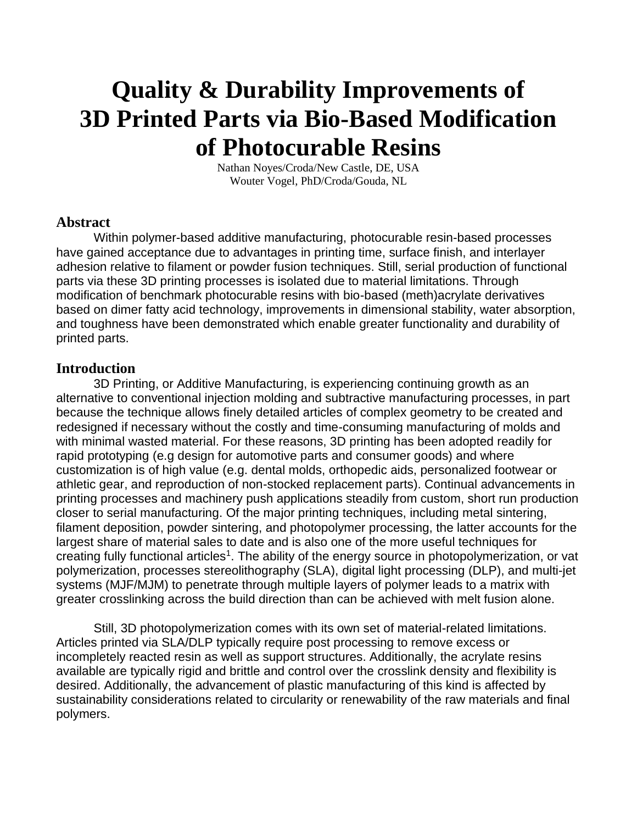# **Quality & Durability Improvements of 3D Printed Parts via Bio-Based Modification of Photocurable Resins**

Nathan Noyes/Croda/New Castle, DE, USA Wouter Vogel, PhD/Croda/Gouda, NL

#### **Abstract**

Within polymer-based additive manufacturing, photocurable resin-based processes have gained acceptance due to advantages in printing time, surface finish, and interlayer adhesion relative to filament or powder fusion techniques. Still, serial production of functional parts via these 3D printing processes is isolated due to material limitations. Through modification of benchmark photocurable resins with bio-based (meth)acrylate derivatives based on dimer fatty acid technology, improvements in dimensional stability, water absorption, and toughness have been demonstrated which enable greater functionality and durability of printed parts.

#### **Introduction**

3D Printing, or Additive Manufacturing, is experiencing continuing growth as an alternative to conventional injection molding and subtractive manufacturing processes, in part because the technique allows finely detailed articles of complex geometry to be created and redesigned if necessary without the costly and time-consuming manufacturing of molds and with minimal wasted material. For these reasons, 3D printing has been adopted readily for rapid prototyping (e.g design for automotive parts and consumer goods) and where customization is of high value (e.g. dental molds, orthopedic aids, personalized footwear or athletic gear, and reproduction of non-stocked replacement parts). Continual advancements in printing processes and machinery push applications steadily from custom, short run production closer to serial manufacturing. Of the major printing techniques, including metal sintering, filament deposition, powder sintering, and photopolymer processing, the latter accounts for the largest share of material sales to date and is also one of the more useful techniques for creating fully functional articles<sup>1</sup>. The ability of the energy source in photopolymerization, or vat polymerization, processes stereolithography (SLA), digital light processing (DLP), and multi-jet systems (MJF/MJM) to penetrate through multiple layers of polymer leads to a matrix with greater crosslinking across the build direction than can be achieved with melt fusion alone.

Still, 3D photopolymerization comes with its own set of material-related limitations. Articles printed via SLA/DLP typically require post processing to remove excess or incompletely reacted resin as well as support structures. Additionally, the acrylate resins available are typically rigid and brittle and control over the crosslink density and flexibility is desired. Additionally, the advancement of plastic manufacturing of this kind is affected by sustainability considerations related to circularity or renewability of the raw materials and final polymers.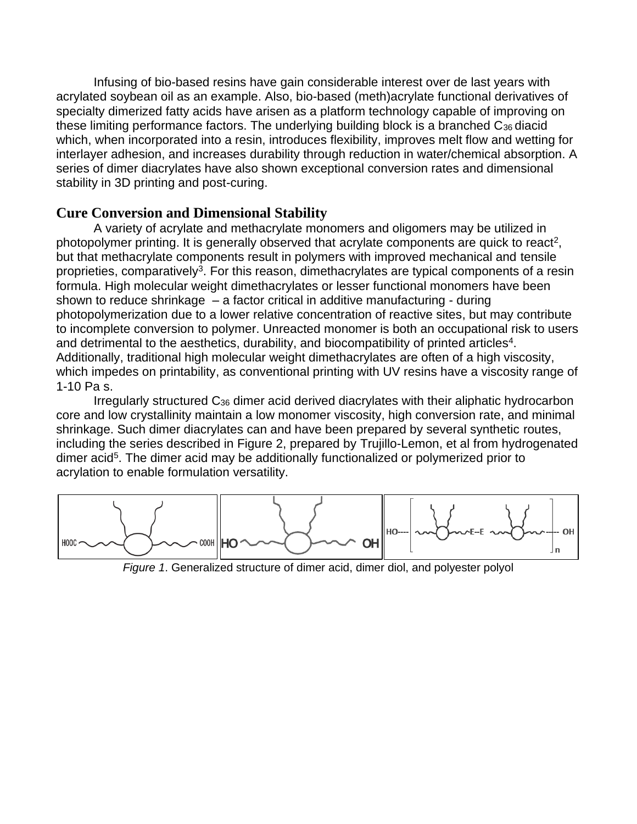Infusing of bio-based resins have gain considerable interest over de last years with acrylated soybean oil as an example. Also, bio-based (meth)acrylate functional derivatives of specialty dimerized fatty acids have arisen as a platform technology capable of improving on these limiting performance factors. The underlying building block is a branched C<sub>36</sub> diacid which, when incorporated into a resin, introduces flexibility, improves melt flow and wetting for interlayer adhesion, and increases durability through reduction in water/chemical absorption. A series of dimer diacrylates have also shown exceptional conversion rates and dimensional stability in 3D printing and post-curing.

#### **Cure Conversion and Dimensional Stability**

A variety of acrylate and methacrylate monomers and oligomers may be utilized in photopolymer printing. It is generally observed that acrylate components are quick to react<sup>2</sup>, but that methacrylate components result in polymers with improved mechanical and tensile proprieties, comparatively<sup>3</sup>. For this reason, dimethacrylates are typical components of a resin formula. High molecular weight dimethacrylates or lesser functional monomers have been shown to reduce shrinkage – a factor critical in additive manufacturing - during photopolymerization due to a lower relative concentration of reactive sites, but may contribute to incomplete conversion to polymer. Unreacted monomer is both an occupational risk to users and detrimental to the aesthetics, durability, and biocompatibility of printed articles<sup>4</sup>. Additionally, traditional high molecular weight dimethacrylates are often of a high viscosity, which impedes on printability, as conventional printing with UV resins have a viscosity range of 1-10 Pa s.

Irregularly structured C<sup>36</sup> dimer acid derived diacrylates with their aliphatic hydrocarbon core and low crystallinity maintain a low monomer viscosity, high conversion rate, and minimal shrinkage. Such dimer diacrylates can and have been prepared by several synthetic routes, including the series described in Figure 2, prepared by Trujillo-Lemon, et al from hydrogenated dimer acid<sup>5</sup>. The dimer acid may be additionally functionalized or polymerized prior to acrylation to enable formulation versatility.



*Figure 1*. Generalized structure of dimer acid, dimer diol, and polyester polyol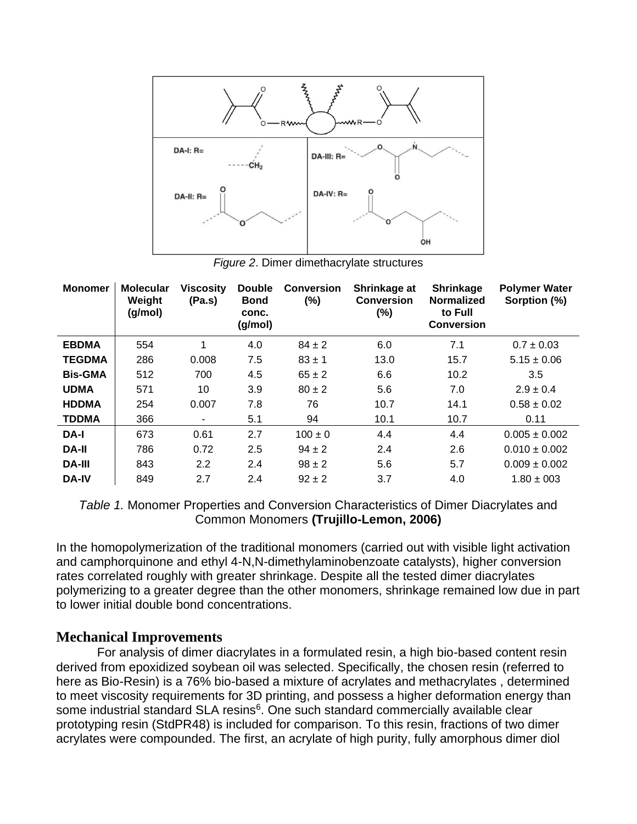

*Figure 2*. Dimer dimethacrylate structures

| <b>Monomer</b> | <b>Molecular</b><br>Weight<br>(g/mol) | <b>Viscosity</b><br>(Pa.s) | <b>Double</b><br><b>Bond</b><br>conc.<br>(g/mol) | <b>Conversion</b><br>(%) | Shrinkage at<br><b>Conversion</b><br>$(\%)$ | <b>Shrinkage</b><br><b>Normalized</b><br>to Full<br><b>Conversion</b> | <b>Polymer Water</b><br>Sorption (%) |
|----------------|---------------------------------------|----------------------------|--------------------------------------------------|--------------------------|---------------------------------------------|-----------------------------------------------------------------------|--------------------------------------|
| <b>EBDMA</b>   | 554                                   | 1                          | 4.0                                              | $84 \pm 2$               | 6.0                                         | 7.1                                                                   | $0.7 \pm 0.03$                       |
| <b>TEGDMA</b>  | 286                                   | 0.008                      | 7.5                                              | $83 \pm 1$               | 13.0                                        | 15.7                                                                  | $5.15 \pm 0.06$                      |
| <b>Bis-GMA</b> | 512                                   | 700                        | 4.5                                              | $65 \pm 2$               | 6.6                                         | 10.2                                                                  | 3.5                                  |
| <b>UDMA</b>    | 571                                   | 10                         | 3.9                                              | $80 \pm 2$               | 5.6                                         | 7.0                                                                   | $2.9 \pm 0.4$                        |
| <b>HDDMA</b>   | 254                                   | 0.007                      | 7.8                                              | 76                       | 10.7                                        | 14.1                                                                  | $0.58 \pm 0.02$                      |
| <b>TDDMA</b>   | 366                                   | ۰                          | 5.1                                              | 94                       | 10.1                                        | 10.7                                                                  | 0.11                                 |
| DA-I           | 673                                   | 0.61                       | 2.7                                              | $100 \pm 0$              | 4.4                                         | 4.4                                                                   | $0.005 \pm 0.002$                    |
| <b>DA-II</b>   | 786                                   | 0.72                       | 2.5                                              | $94 \pm 2$               | 2.4                                         | 2.6                                                                   | $0.010 \pm 0.002$                    |
| <b>DA-III</b>  | 843                                   | 2.2                        | 2.4                                              | $98 \pm 2$               | 5.6                                         | 5.7                                                                   | $0.009 \pm 0.002$                    |
| <b>DA-IV</b>   | 849                                   | 2.7                        | 2.4                                              | $92 \pm 2$               | 3.7                                         | 4.0                                                                   | $1.80 \pm 003$                       |

*Table 1.* Monomer Properties and Conversion Characteristics of Dimer Diacrylates and Common Monomers **(Trujillo-Lemon, 2006)**

In the homopolymerization of the traditional monomers (carried out with visible light activation and camphorquinone and ethyl 4-N,N-dimethylaminobenzoate catalysts), higher conversion rates correlated roughly with greater shrinkage. Despite all the tested dimer diacrylates polymerizing to a greater degree than the other monomers, shrinkage remained low due in part to lower initial double bond concentrations.

### **Mechanical Improvements**

For analysis of dimer diacrylates in a formulated resin, a high bio-based content resin derived from epoxidized soybean oil was selected. Specifically, the chosen resin (referred to here as Bio-Resin) is a 76% bio-based a mixture of acrylates and methacrylates , determined to meet viscosity requirements for 3D printing, and possess a higher deformation energy than some industrial standard SLA resins<sup>6</sup>. One such standard commercially available clear prototyping resin (StdPR48) is included for comparison. To this resin, fractions of two dimer acrylates were compounded. The first, an acrylate of high purity, fully amorphous dimer diol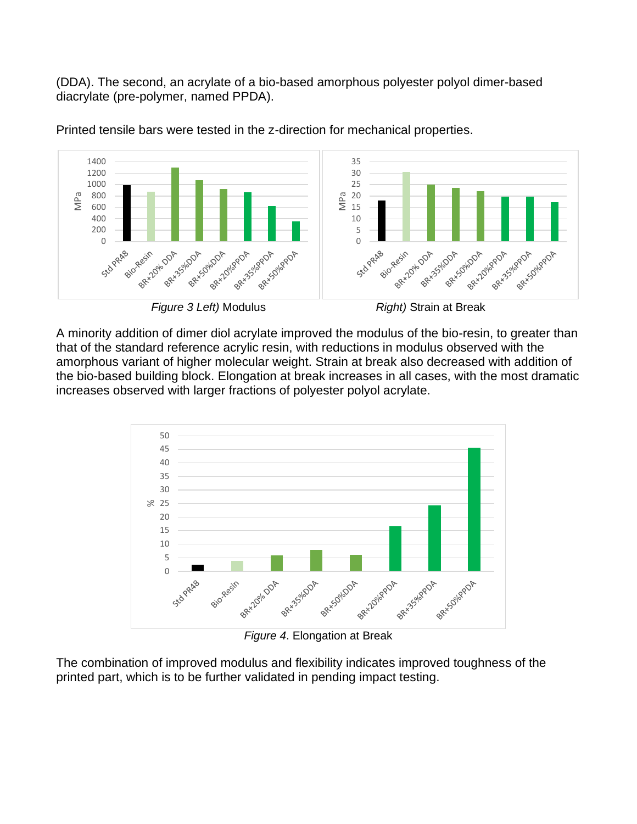(DDA). The second, an acrylate of a bio-based amorphous polyester polyol dimer-based diacrylate (pre-polymer, named PPDA).



Printed tensile bars were tested in the z-direction for mechanical properties.



A minority addition of dimer diol acrylate improved the modulus of the bio-resin, to greater than that of the standard reference acrylic resin, with reductions in modulus observed with the amorphous variant of higher molecular weight. Strain at break also decreased with addition of the bio-based building block. Elongation at break increases in all cases, with the most dramatic increases observed with larger fractions of polyester polyol acrylate.



*Figure 4*. Elongation at Break

The combination of improved modulus and flexibility indicates improved toughness of the printed part, which is to be further validated in pending impact testing.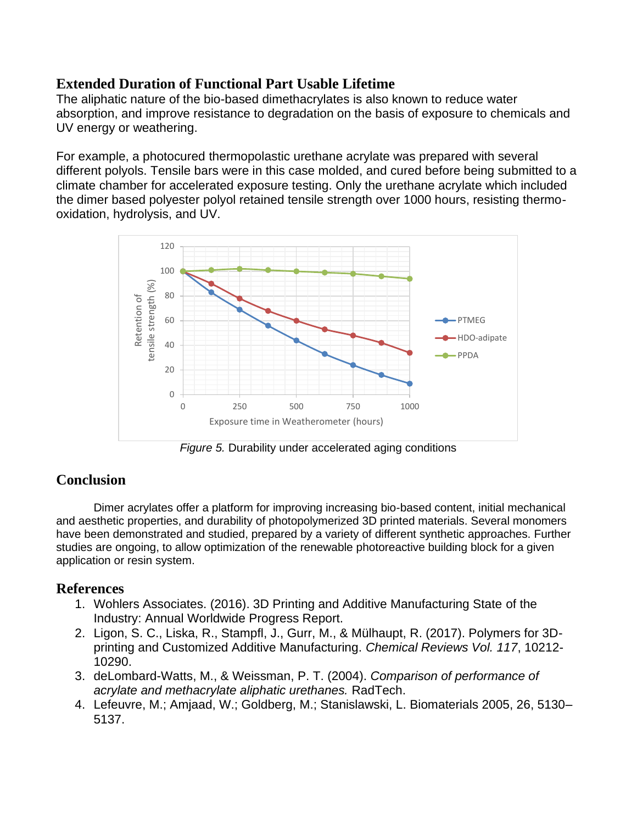## **Extended Duration of Functional Part Usable Lifetime**

The aliphatic nature of the bio-based dimethacrylates is also known to reduce water absorption, and improve resistance to degradation on the basis of exposure to chemicals and UV energy or weathering.

For example, a photocured thermopolastic urethane acrylate was prepared with several different polyols. Tensile bars were in this case molded, and cured before being submitted to a climate chamber for accelerated exposure testing. Only the urethane acrylate which included the dimer based polyester polyol retained tensile strength over 1000 hours, resisting thermooxidation, hydrolysis, and UV.



*Figure 5.* Durability under accelerated aging conditions

# **Conclusion**

Dimer acrylates offer a platform for improving increasing bio-based content, initial mechanical and aesthetic properties, and durability of photopolymerized 3D printed materials. Several monomers have been demonstrated and studied, prepared by a variety of different synthetic approaches. Further studies are ongoing, to allow optimization of the renewable photoreactive building block for a given application or resin system.

### **References**

- 1. Wohlers Associates. (2016). 3D Printing and Additive Manufacturing State of the Industry: Annual Worldwide Progress Report.
- 2. Ligon, S. C., Liska, R., Stampfl, J., Gurr, M., & Mülhaupt, R. (2017). Polymers for 3Dprinting and Customized Additive Manufacturing. *Chemical Reviews Vol. 117*, 10212- 10290.
- 3. deLombard-Watts, M., & Weissman, P. T. (2004). *Comparison of performance of acrylate and methacrylate aliphatic urethanes.* RadTech.
- 4. Lefeuvre, M.; Amjaad, W.; Goldberg, M.; Stanislawski, L. Biomaterials 2005, 26, 5130– 5137.